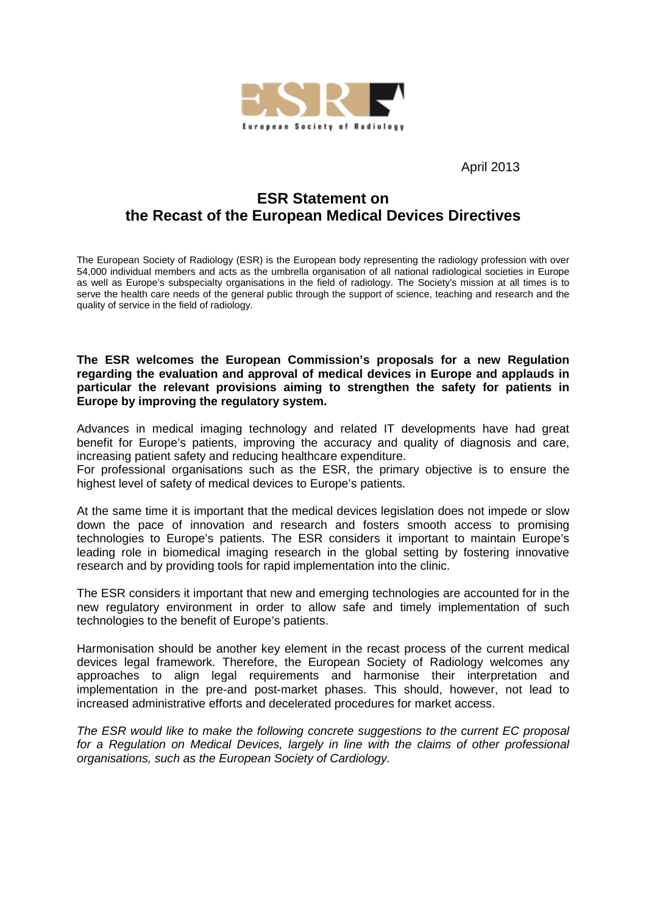

April 2013

# **ESR Statement on the Recast of the European Medical Devices Directives**

The European Society of Radiology (ESR) is the European body representing the radiology profession with over 54,000 individual members and acts as the umbrella organisation of all national radiological societies in Europe as well as Europe's subspecialty organisations in the field of radiology. The Society's mission at all times is to serve the health care needs of the general public through the support of science, teaching and research and the quality of service in the field of radiology.

**The ESR welcomes the European Commission's proposals for a new Regulation regarding the evaluation and approval of medical devices in Europe and applauds in particular the relevant provisions aiming to strengthen the safety for patients in Europe by improving the regulatory system.** 

Advances in medical imaging technology and related IT developments have had great benefit for Europe's patients, improving the accuracy and quality of diagnosis and care, increasing patient safety and reducing healthcare expenditure.

For professional organisations such as the ESR, the primary objective is to ensure the highest level of safety of medical devices to Europe's patients.

At the same time it is important that the medical devices legislation does not impede or slow down the pace of innovation and research and fosters smooth access to promising technologies to Europe's patients. The ESR considers it important to maintain Europe's leading role in biomedical imaging research in the global setting by fostering innovative research and by providing tools for rapid implementation into the clinic.

The ESR considers it important that new and emerging technologies are accounted for in the new regulatory environment in order to allow safe and timely implementation of such technologies to the benefit of Europe's patients.

Harmonisation should be another key element in the recast process of the current medical devices legal framework. Therefore, the European Society of Radiology welcomes any approaches to align legal requirements and harmonise their interpretation and implementation in the pre-and post-market phases. This should, however, not lead to increased administrative efforts and decelerated procedures for market access.

The ESR would like to make the following concrete suggestions to the current EC proposal for a Regulation on Medical Devices, largely in line with the claims of other professional organisations, such as the European Society of Cardiology.